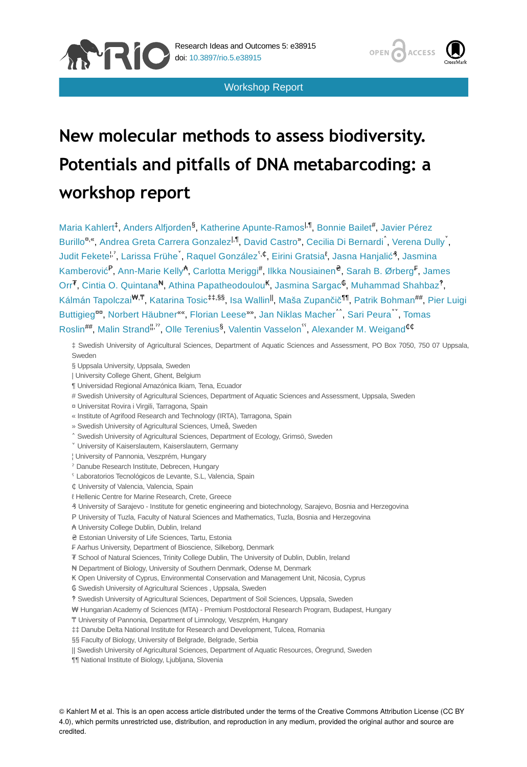

Workshop Report



# **New molecular methods to assess biodiversity. Potentials and pitfalls of DNA metabarcoding: a workshop report**

Maria Kahlert<sup>‡</sup>, Anders Alfjorden<sup>§</sup>, Katherine Apunte-Ramos<sup>|, ¶</sup>, Bonnie Bailet#, Javier Pérez Burillo<sup>n</sup>", Andrea Greta Carrera Gonzalez<sup>i, I</sup>, David Castro", Cecilia Di Bernardi<sup>\*</sup>, Verena Dully<sup>\*</sup>, Judit Fekete<sup>l,'</sup>, Larissa Frühe<sup>`</sup>, Raquel González<sup>5,¢</sup>, Eirini Gratsia<sup>ℓ</sup>, Jasna Hanjalić<sup>3</sup>, Jasmina Kamberović<sup>P</sup>, Ann-Marie Kelly<sup>A</sup>, Carlotta Meriggi<sup>#</sup>, Ilkka Nousiainen<sup>e</sup>, Sarah B. Ørberg<sup>F</sup>, James Orr<sup>7</sup>, Cintia O. Quintana<sup>N</sup>, Athina Papatheodoulou<sup>K</sup>, Jasmina Sargac<sup>C</sup>, Muhammad Shahbaz<sup>?</sup>, Kálmán Tapolczai<sup>w,T</sup>, Katarina Tosic<sup>‡‡,§§</sup>, Isa Wallin<sup>II</sup>, Maša Zupančič<sup>¶¶</sup>, Patrik Bohman<sup>##</sup>, Pier Luigi Buttigieg<sup>aa</sup>, Norbert Häubner", Florian Leese"", Jan Niklas Macher<sup>^^</sup>, Sari Peura<sup>v\*</sup>, Tomas Roslin<sup>##</sup>, Malin Strand"<sup>,"</sup>, Olle Terenius<sup>§</sup>, Valentin Vasselon<sup>",</sup> Alexander M. Weigand<sup>¢¢</sup>

‡ Swedish University of Agricultural Sciences, Department of Aquatic Sciences and Assessment, PO Box 7050, 750 07 Uppsala, Sweden

§ Uppsala University, Uppsala, Sweden

- | University College Ghent, Ghent, Belgium
- ¶ Universidad Regional Amazónica Ikiam, Tena, Ecuador
- # Swedish University of Agricultural Sciences, Department of Aquatic Sciences and Assessment, Uppsala, Sweden
- ¤ Universitat Rovira i Virgili, Tarragona, Spain
- « Institute of Agrifood Research and Technology (IRTA), Tarragona, Spain
- » Swedish University of Agricultural Sciences, Umeå, Sweden
- ˄ Swedish University of Agricultural Sciences, Department of Ecology, Grimsö, Sweden
- ˅ University of Kaiserslautern, Kaiserslautern, Germany
- ¦ University of Pannonia, Veszprém, Hungary
- ˀ Danube Research Institute, Debrecen, Hungary
- ˁ Laboratorios Tecnológicos de Levante, S.L, Valencia, Spain
- ₵ University of Valencia, Valencia, Spain
- ℓ Hellenic Centre for Marine Research, Crete, Greece
- ₰ University of Sarajevo Institute for genetic engineering and biotechnology, Sarajevo, Bosnia and Herzegovina
- P University of Tuzla, Faculty of Natural Sciences and Mathematics, Tuzla, Bosnia and Herzegovina
- ₳ University College Dublin, Dublin, Ireland
- ₴ Estonian University of Life Sciences, Tartu, Estonia
- ₣ Aarhus University, Department of Bioscience, Silkeborg, Denmark
- ₮ School of Natural Sciences, Trinity College Dublin, The University of Dublin, Dublin, Ireland
- ₦ Department of Biology, University of Southern Denmark, Odense M, Denmark
- ₭ Open University of Cyprus, Environmental Conservation and Management Unit, Nicosia, Cyprus
- ₲ Swedish University of Agricultural Sciences , Uppsala, Sweden
- ‽ Swedish University of Agricultural Sciences, Department of Soil Sciences, Uppsala, Sweden
- ₩ Hungarian Academy of Sciences (MTA) Premium Postdoctoral Research Program, Budapest, Hungary
- ₸ University of Pannonia, Department of Limnology, Veszprém, Hungary
- ‡‡ Danube Delta National Institute for Research and Development, Tulcea, Romania
- §§ Faculty of Biology, University of Belgrade, Belgrade, Serbia
- || Swedish University of Agricultural Sciences, Department of Aquatic Resources, Öregrund, Sweden
- ¶¶ National Institute of Biology, Ljubljana, Slovenia

© Kahlert M et al. This is an open access article distributed under the terms of the Creative Commons Attribution License (CC BY 4.0), which permits unrestricted use, distribution, and reproduction in any medium, provided the original author and source are credited.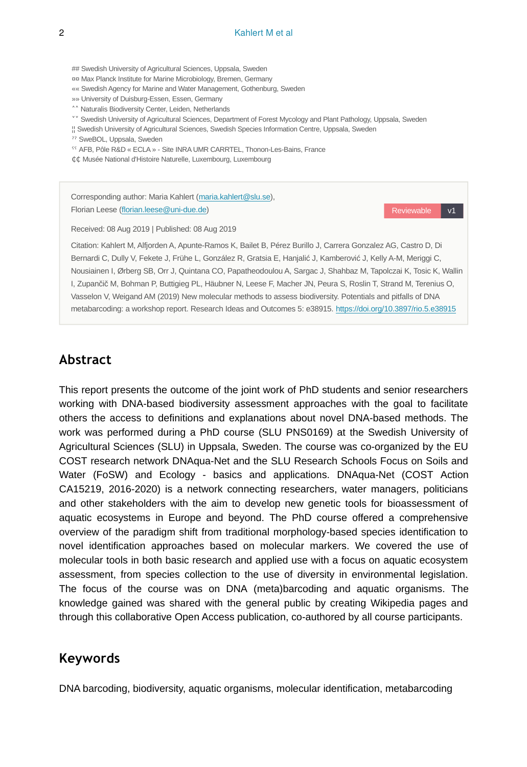## Swedish University of Agricultural Sciences, Uppsala, Sweden

¤¤ Max Planck Institute for Marine Microbiology, Bremen, Germany

«« Swedish Agency for Marine and Water Management, Gothenburg, Sweden

»» University of Duisburg-Essen, Essen, Germany

˄˄ Naturalis Biodiversity Center, Leiden, Netherlands

˅˅ Swedish University of Agricultural Sciences, Department of Forest Mycology and Plant Pathology, Uppsala, Sweden

¦¦ Swedish University of Agricultural Sciences, Swedish Species Information Centre, Uppsala, Sweden

ˀˀ SweBOL, Uppsala, Sweden

<sup>55</sup> AFB, Pôle R&D « ECLA » - Site INRA UMR CARRTEL, Thonon-Les-Bains, France

¢¢ Musée National d'Histoire Naturelle, Luxembourg, Luxembourg

Corresponding author: Maria Kahlert [\(maria.kahlert@slu.se\)](mailto:maria.kahlert@slu.se), Florian Leese [\(florian.leese@uni-due.de](mailto:florian.leese@uni-due.de))

Reviewable v1

Received: 08 Aug 2019 | Published: 08 Aug 2019

Citation: Kahlert M, Alfjorden A, Apunte-Ramos K, Bailet B, Pérez Burillo J, Carrera Gonzalez AG, Castro D, Di Bernardi C, Dully V, Fekete J, Frühe L, González R, Gratsia E, Hanjalić J, Kamberović J, Kelly A-M, Meriggi C, Nousiainen I, Ørberg SB, Orr J, Quintana CO, Papatheodoulou A, Sargac J, Shahbaz M, Tapolczai K, Tosic K, Wallin I, Zupančič M, Bohman P, Buttigieg PL, Häubner N, Leese F, Macher JN, Peura S, Roslin T, Strand M, Terenius O, Vasselon V, Weigand AM (2019) New molecular methods to assess biodiversity. Potentials and pitfalls of DNA metabarcoding: a workshop report. Research Ideas and Outcomes 5: e38915. <https://doi.org/10.3897/rio.5.e38915>

## **Abstract**

This report presents the outcome of the joint work of PhD students and senior researchers working with DNA-based biodiversity assessment approaches with the goal to facilitate others the access to definitions and explanations about novel DNA-based methods. The work was performed during a PhD course (SLU PNS0169) at the Swedish University of Agricultural Sciences (SLU) in Uppsala, Sweden. The course was co-organized by the EU COST research network DNAqua-Net and the SLU Research Schools Focus on Soils and Water (FoSW) and Ecology - basics and applications. DNAqua-Net (COST Action CA15219, 2016-2020) is a network connecting researchers, water managers, politicians and other stakeholders with the aim to develop new genetic tools for bioassessment of aquatic ecosystems in Europe and beyond. The PhD course offered a comprehensive overview of the paradigm shift from traditional morphology-based species identification to novel identification approaches based on molecular markers. We covered the use of molecular tools in both basic research and applied use with a focus on aquatic ecosystem assessment, from species collection to the use of diversity in environmental legislation. The focus of the course was on DNA (meta)barcoding and aquatic organisms. The knowledge gained was shared with the general public by creating Wikipedia pages and through this collaborative Open Access publication, co-authored by all course participants.

## **Keywords**

DNA barcoding, biodiversity, aquatic organisms, molecular identification, metabarcoding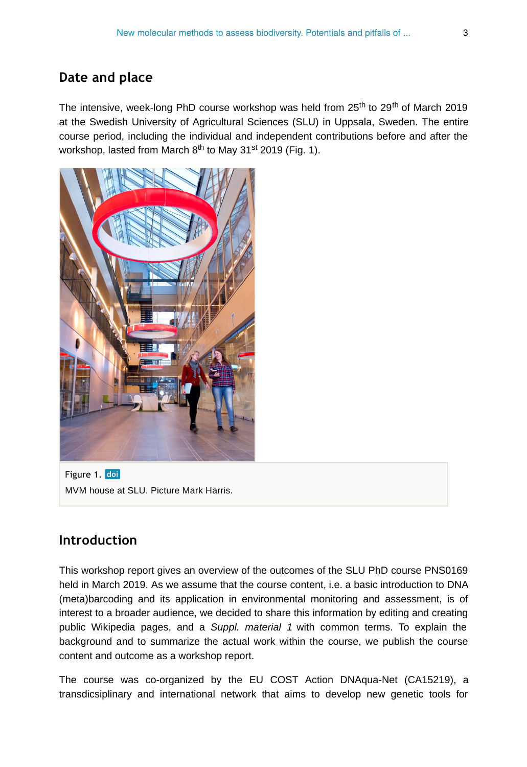## **Date and place**

The intensive, week-long PhD course workshop was held from 25<sup>th</sup> to 29<sup>th</sup> of March 2019 at the Swedish University of Agricultural Sciences (SLU) in Uppsala, Sweden. The entire course period, including the individual and independent contributions before and after the workshop, lasted from March  $8^{\text{th}}$  to May 31 $^{\text{st}}$  2019 (Fig. 1).



Figure 1. doi MVM house at SLU. Picture Mark Harris.

## **Introduction**

This workshop report gives an overview of the outcomes of the SLU PhD course PNS0169 held in March 2019. As we assume that the course content, i.e. a basic introduction to DNA (meta)barcoding and its application in environmental monitoring and assessment, is of interest to a broader audience, we decided to share this information by editing and creating public Wikipedia pages, and a *Suppl. material 1* with common terms. To explain the background and to summarize the actual work within the course, we publish the course content and outcome as a workshop report.

The course was co-organized by the EU COST Action DNAqua-Net (CA15219), a transdicsiplinary and international network that aims to develop new genetic tools for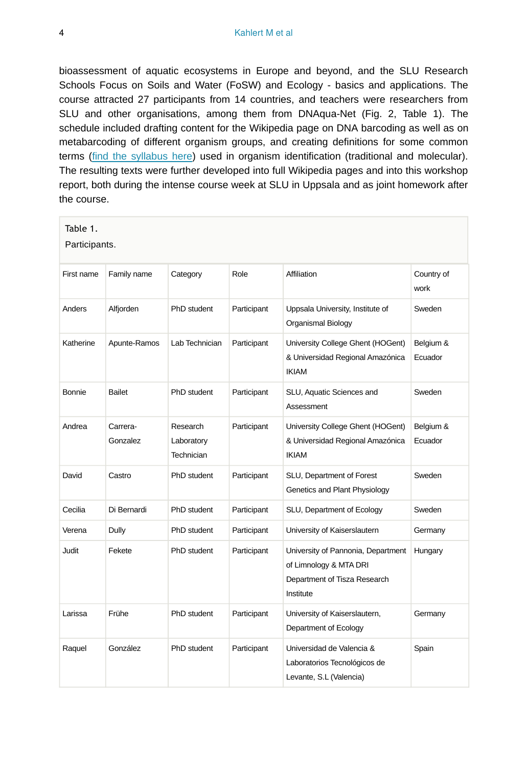bioassessment of aquatic ecosystems in Europe and beyond, and the SLU Research Schools Focus on Soils and Water (FoSW) and Ecology - basics and applications. The course attracted 27 participants from 14 countries, and teachers were researchers from SLU and other organisations, among them from DNAqua-Net (Fig. 2, Table 1). The schedule included drafting content for the Wikipedia page on DNA barcoding as well as on metabarcoding of different organism groups, and creating definitions for some common terms ([find the syllabus here\)](https://www.slu.se/utbildning/program-kurser/kurser/?sprak=en&anmkod=P0037.1819) used in organism identification (traditional and molecular). The resulting texts were further developed into full Wikipedia pages and into this workshop report, both during the intense course week at SLU in Uppsala and as joint homework after the course.

| Table 1. |  |  |  |  |  |  |
|----------|--|--|--|--|--|--|
|----------|--|--|--|--|--|--|

Participants.

| First name | Family name          | Category                             | Role        | Affiliation                                                                                               | Country of<br>work   |
|------------|----------------------|--------------------------------------|-------------|-----------------------------------------------------------------------------------------------------------|----------------------|
| Anders     | Alfjorden            | PhD student                          | Participant | Uppsala University, Institute of<br>Organismal Biology                                                    | Sweden               |
| Katherine  | Apunte-Ramos         | Lab Technician                       | Participant | University College Ghent (HOGent)<br>& Universidad Regional Amazónica<br><b>IKIAM</b>                     | Belgium &<br>Ecuador |
| Bonnie     | <b>Bailet</b>        | PhD student                          | Participant | SLU, Aquatic Sciences and<br>Assessment                                                                   | Sweden               |
| Andrea     | Carrera-<br>Gonzalez | Research<br>Laboratory<br>Technician | Participant | University College Ghent (HOGent)<br>& Universidad Regional Amazónica<br><b>IKIAM</b>                     | Belgium &<br>Ecuador |
| David      | Castro               | PhD student                          | Participant | SLU, Department of Forest<br>Genetics and Plant Physiology                                                | Sweden               |
| Cecilia    | Di Bernardi          | PhD student                          | Participant | SLU, Department of Ecology                                                                                | Sweden               |
| Verena     | Dully                | PhD student                          | Participant | University of Kaiserslautern                                                                              | Germany              |
| Judit      | Fekete               | PhD student                          | Participant | University of Pannonia, Department<br>of Limnology & MTA DRI<br>Department of Tisza Research<br>Institute | Hungary              |
| Larissa    | Frühe                | PhD student                          | Participant | University of Kaiserslautern,<br>Department of Ecology                                                    | Germany              |
| Raquel     | González             | PhD student                          | Participant | Universidad de Valencia &<br>Laboratorios Tecnológicos de<br>Levante, S.L (Valencia)                      | Spain                |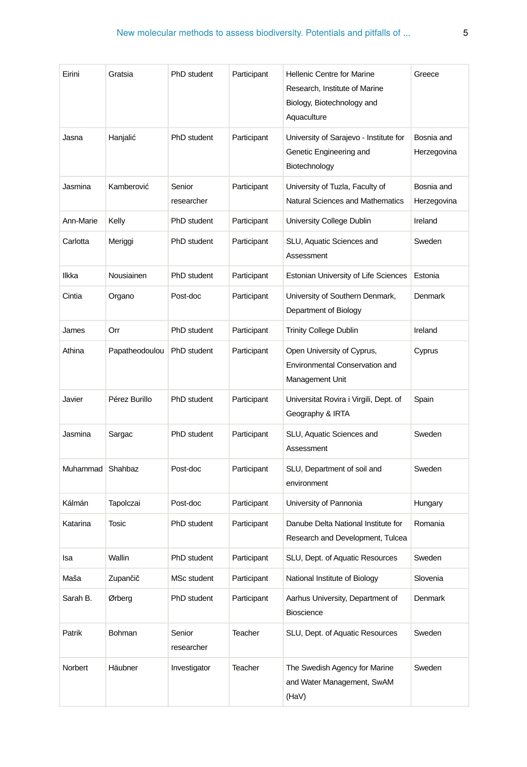| Eirini    | Gratsia        | PhD student          | Participant | <b>Hellenic Centre for Marine</b><br>Research, Institute of Marine<br>Biology, Biotechnology and<br>Aquaculture | Greece                    |
|-----------|----------------|----------------------|-------------|-----------------------------------------------------------------------------------------------------------------|---------------------------|
| Jasna     | Hanjalić       | PhD student          | Participant | University of Sarajevo - Institute for<br>Genetic Engineering and<br>Biotechnology                              | Bosnia and<br>Herzegovina |
| Jasmina   | Kamberović     | Senior<br>researcher | Participant | University of Tuzla, Faculty of<br>Natural Sciences and Mathematics                                             | Bosnia and<br>Herzegovina |
| Ann-Marie | Kelly          | PhD student          | Participant | University College Dublin                                                                                       | Ireland                   |
| Carlotta  | Meriggi        | PhD student          | Participant | SLU, Aquatic Sciences and<br>Assessment                                                                         | Sweden                    |
| Ilkka     | Nousiainen     | PhD student          | Participant | <b>Estonian University of Life Sciences</b>                                                                     | Estonia                   |
| Cintia    | Organo         | Post-doc             | Participant | University of Southern Denmark,<br>Department of Biology                                                        | Denmark                   |
| James     | Orr            | PhD student          | Participant | <b>Trinity College Dublin</b>                                                                                   | Ireland                   |
| Athina    | Papatheodoulou | PhD student          | Participant | Open University of Cyprus,<br>Environmental Conservation and<br>Management Unit                                 | Cyprus                    |
| Javier    | Pérez Burillo  | PhD student          | Participant | Universitat Rovira i Virgili, Dept. of<br>Geography & IRTA                                                      | Spain                     |
| Jasmina   | Sargac         | PhD student          | Participant | SLU, Aquatic Sciences and<br>Assessment                                                                         | Sweden                    |
| Muhammad  | Shahbaz        | Post-doc             | Participant | SLU, Department of soil and<br>environment                                                                      | Sweden                    |
| Kálmán    | Tapolczai      | Post-doc             | Participant | University of Pannonia                                                                                          | Hungary                   |
| Katarina  | <b>Tosic</b>   | PhD student          | Participant | Danube Delta National Institute for<br>Research and Development, Tulcea                                         | Romania                   |
| Isa       | Wallin         | PhD student          | Participant | SLU, Dept. of Aquatic Resources                                                                                 | Sweden                    |
| Maša      | Zupančič       | MSc student          | Participant | National Institute of Biology                                                                                   | Slovenia                  |
| Sarah B.  | Ørberg         | PhD student          | Participant | Aarhus University, Department of<br>Bioscience                                                                  | Denmark                   |
| Patrik    | Bohman         | Senior<br>researcher | Teacher     | SLU, Dept. of Aquatic Resources                                                                                 | Sweden                    |
| Norbert   | Häubner        | Investigator         | Teacher     | The Swedish Agency for Marine<br>and Water Management, SwAM<br>(HaV)                                            | Sweden                    |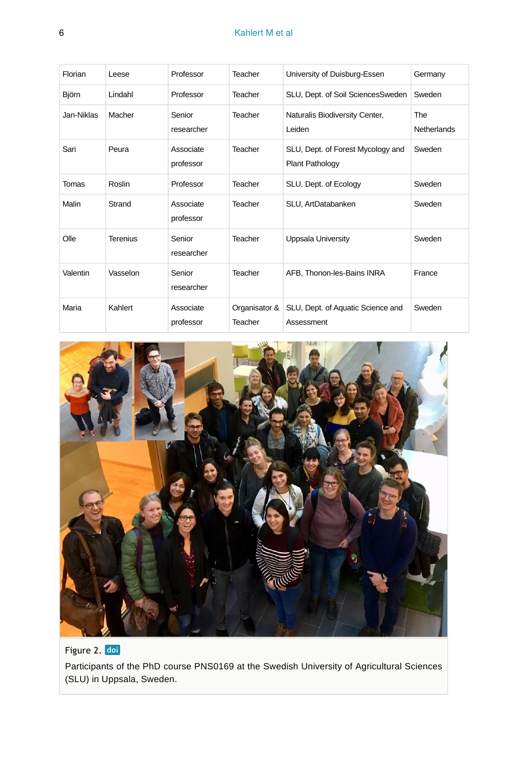#### 6 Kahlert M et al

| Florian    | Leese    | Professor              | Teacher                  | University of Duisburg-Essen                                | Germany                          |
|------------|----------|------------------------|--------------------------|-------------------------------------------------------------|----------------------------------|
| Björn      | Lindahl  | Professor              | Teacher                  | SLU, Dept. of Soil SciencesSweden                           | Sweden                           |
| Jan-Niklas | Macher   | Senior<br>researcher   | Teacher                  | Naturalis Biodiversity Center,<br>Leiden                    | <b>The</b><br><b>Netherlands</b> |
| Sari       | Peura    | Associate<br>professor | Teacher                  | SLU, Dept. of Forest Mycology and<br><b>Plant Pathology</b> | Sweden                           |
| Tomas      | Roslin   | Professor              | Teacher                  | SLU, Dept. of Ecology                                       | Sweden                           |
| Malin      | Strand   | Associate<br>professor | Teacher                  | SLU, ArtDatabanken                                          | Sweden                           |
| Olle       | Terenius | Senior<br>researcher   | Teacher                  | Uppsala University                                          | Sweden                           |
| Valentin   | Vasselon | Senior<br>researcher   | Teacher                  | AFB, Thonon-les-Bains INRA                                  | France                           |
| Maria      | Kahlert  | Associate<br>professor | Organisator &<br>Teacher | SLU, Dept. of Aquatic Science and<br>Assessment             | Sweden                           |



Figure 2. doi Participants of the PhD course PNS0169 at the Swedish University of Agricultural Sciences (SLU) in Uppsala, Sweden.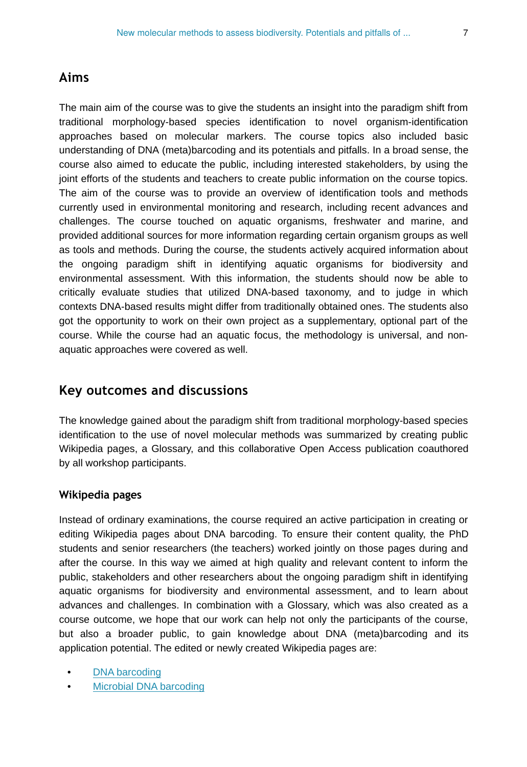#### **Aims**

The main aim of the course was to give the students an insight into the paradigm shift from traditional morphology-based species identification to novel organism-identification approaches based on molecular markers. The course topics also included basic understanding of DNA (meta)barcoding and its potentials and pitfalls. In a broad sense, the course also aimed to educate the public, including interested stakeholders, by using the joint efforts of the students and teachers to create public information on the course topics. The aim of the course was to provide an overview of identification tools and methods currently used in environmental monitoring and research, including recent advances and challenges. The course touched on aquatic organisms, freshwater and marine, and provided additional sources for more information regarding certain organism groups as well as tools and methods. During the course, the students actively acquired information about the ongoing paradigm shift in identifying aquatic organisms for biodiversity and environmental assessment. With this information, the students should now be able to critically evaluate studies that utilized DNA-based taxonomy, and to judge in which contexts DNA-based results might differ from traditionally obtained ones. The students also got the opportunity to work on their own project as a supplementary, optional part of the course. While the course had an aquatic focus, the methodology is universal, and nonaquatic approaches were covered as well.

## **Key outcomes and discussions**

The knowledge gained about the paradigm shift from traditional morphology-based species identification to the use of novel molecular methods was summarized by creating public Wikipedia pages, a Glossary, and this collaborative Open Access publication coauthored by all workshop participants.

#### **Wikipedia pages**

Instead of ordinary examinations, the course required an active participation in creating or editing Wikipedia pages about DNA barcoding. To ensure their content quality, the PhD students and senior researchers (the teachers) worked jointly on those pages during and after the course. In this way we aimed at high quality and relevant content to inform the public, stakeholders and other researchers about the ongoing paradigm shift in identifying aquatic organisms for biodiversity and environmental assessment, and to learn about advances and challenges. In combination with a Glossary, which was also created as a course outcome, we hope that our work can help not only the participants of the course, but also a broader public, to gain knowledge about DNA (meta)barcoding and its application potential. The edited or newly created Wikipedia pages are:

- [DNA barcoding](https://en.wikipedia.org/wiki/DNA_barcoding)
- [Microbial DNA barcoding](https://en.wikipedia.org/wiki/Microbial_DNA_barcoding)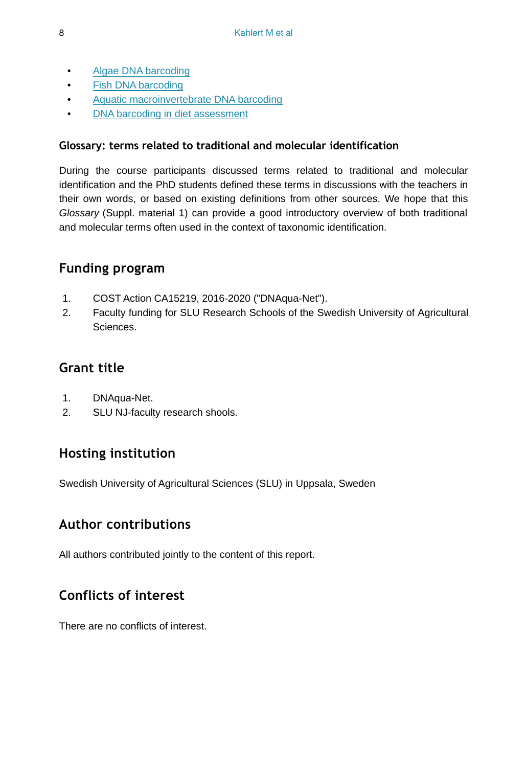- [Algae DNA barcoding](https://en.wikipedia.org/wiki/Algae_DNA_barcoding)
- [Fish DNA barcoding](https://en.wikipedia.org/wiki/Fish_DNA_barcoding)
- [Aquatic macroinvertebrate DNA barcoding](https://en.m.wikipedia.org/wiki/Aquatic_macroinvertebrate_DNA_barcoding)
- [DNA barcoding in diet assessment](https://en.wikipedia.org/wiki/DNA_barcoding_in_diet_assessment)

## **Glossary: terms related to traditional and molecular identification**

During the course participants discussed terms related to traditional and molecular identification and the PhD students defined these terms in discussions with the teachers in their own words, or based on existing definitions from other sources. We hope that this *Glossary* (Suppl. material 1) can provide a good introductory overview of both traditional and molecular terms often used in the context of taxonomic identification.

## **Funding program**

- 1. COST Action CA15219, 2016-2020 ("DNAqua-Net").
- 2. Faculty funding for SLU Research Schools of the Swedish University of Agricultural Sciences.

# **Grant title**

- 1. DNAqua-Net.
- 2. SLU NJ-faculty research shools.

# **Hosting institution**

Swedish University of Agricultural Sciences (SLU) in Uppsala, Sweden

## **Author contributions**

All authors contributed jointly to the content of this report.

# **Conflicts of interest**

There are no conflicts of interest.